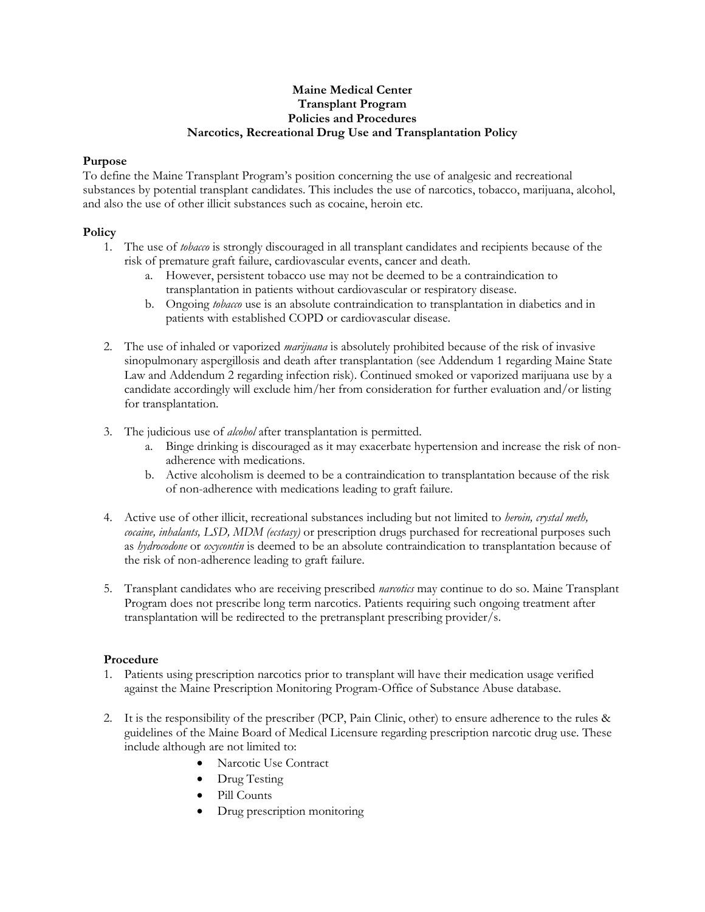#### **Maine Medical Center Transplant Program Policies and Procedures Narcotics, Recreational Drug Use and Transplantation Policy**

## **Purpose**

To define the Maine Transplant Program's position concerning the use of analgesic and recreational substances by potential transplant candidates. This includes the use of narcotics, tobacco, marijuana, alcohol, and also the use of other illicit substances such as cocaine, heroin etc.

## **Policy**

- 1. The use of *tobacco* is strongly discouraged in all transplant candidates and recipients because of the risk of premature graft failure, cardiovascular events, cancer and death.
	- a. However, persistent tobacco use may not be deemed to be a contraindication to transplantation in patients without cardiovascular or respiratory disease.
	- b. Ongoing *tobacco* use is an absolute contraindication to transplantation in diabetics and in patients with established COPD or cardiovascular disease.
- 2. The use of inhaled or vaporized *marijuana* is absolutely prohibited because of the risk of invasive sinopulmonary aspergillosis and death after transplantation (see Addendum 1 regarding Maine State Law and Addendum 2 regarding infection risk). Continued smoked or vaporized marijuana use by a candidate accordingly will exclude him/her from consideration for further evaluation and/or listing for transplantation.
- 3. The judicious use of *alcohol* after transplantation is permitted.
	- a. Binge drinking is discouraged as it may exacerbate hypertension and increase the risk of nonadherence with medications.
	- b. Active alcoholism is deemed to be a contraindication to transplantation because of the risk of non-adherence with medications leading to graft failure.
- 4. Active use of other illicit, recreational substances including but not limited to *heroin, crystal meth, cocaine, inhalants, LSD, MDM (ecstasy)* or prescription drugs purchased for recreational purposes such as *hydrocodone* or *oxycontin* is deemed to be an absolute contraindication to transplantation because of the risk of non-adherence leading to graft failure.
- 5. Transplant candidates who are receiving prescribed *narcotics* may continue to do so. Maine Transplant Program does not prescribe long term narcotics. Patients requiring such ongoing treatment after transplantation will be redirected to the pretransplant prescribing provider/s.

## **Procedure**

- 1. Patients using prescription narcotics prior to transplant will have their medication usage verified against the Maine Prescription Monitoring Program-Office of Substance Abuse database.
- 2. It is the responsibility of the prescriber (PCP, Pain Clinic, other) to ensure adherence to the rules & guidelines of the Maine Board of Medical Licensure regarding prescription narcotic drug use. These include although are not limited to:
	- Narcotic Use Contract
	- Drug Testing
	- Pill Counts
	- Drug prescription monitoring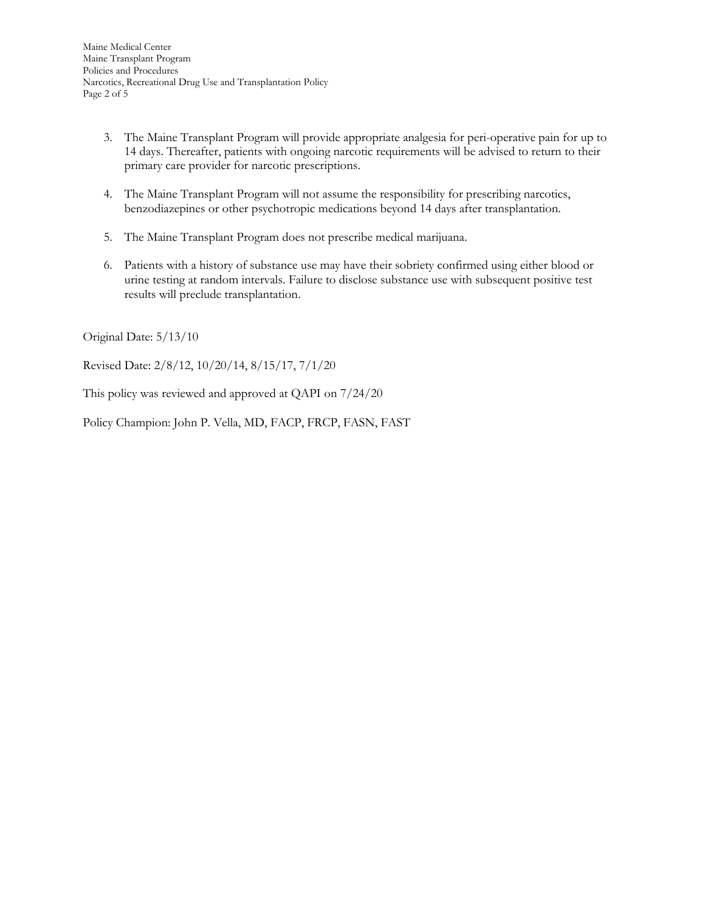- 3. The Maine Transplant Program will provide appropriate analgesia for peri-operative pain for up to 14 days. Thereafter, patients with ongoing narcotic requirements will be advised to return to their primary care provider for narcotic prescriptions.
- 4. The Maine Transplant Program will not assume the responsibility for prescribing narcotics, benzodiazepines or other psychotropic medications beyond 14 days after transplantation.
- 5. The Maine Transplant Program does not prescribe medical marijuana.
- 6. Patients with a history of substance use may have their sobriety confirmed using either blood or urine testing at random intervals. Failure to disclose substance use with subsequent positive test results will preclude transplantation.

Original Date: 5/13/10

Revised Date: 2/8/12, 10/20/14, 8/15/17, 7/1/20

This policy was reviewed and approved at QAPI on 7/24/20

Policy Champion: John P. Vella, MD, FACP, FRCP, FASN, FAST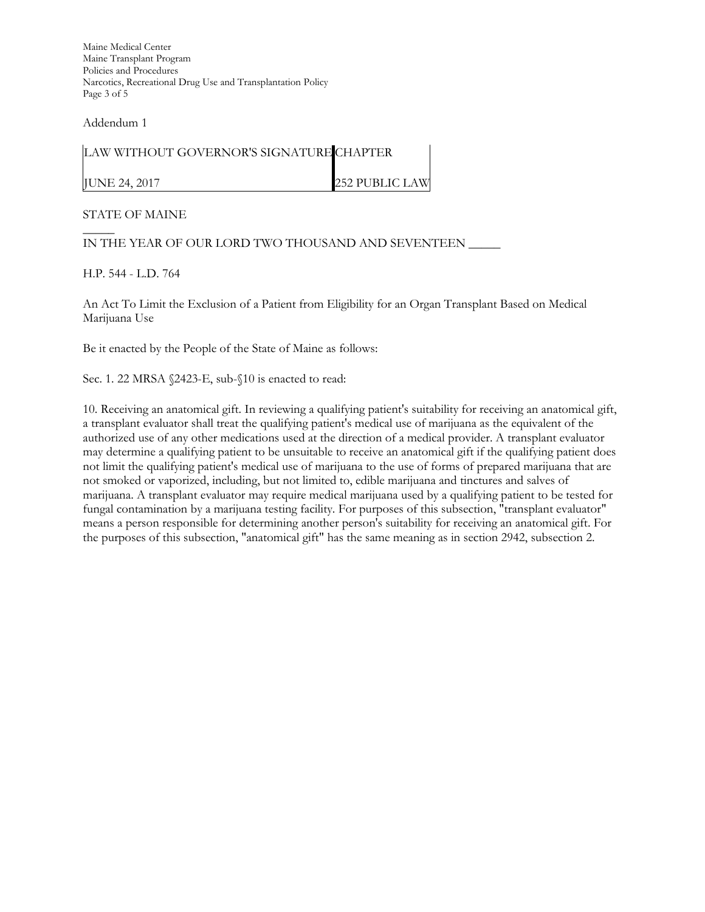Maine Medical Center Maine Transplant Program Policies and Procedures Narcotics, Recreational Drug Use and Transplantation Policy Page 3 of 5

Addendum 1

| LAW WITHOUT GOVERNOR'S SIGNATURE CHAPTER |                       |
|------------------------------------------|-----------------------|
| JUNE 24, 2017                            | <b>252 PUBLIC LAW</b> |

#### STATE OF MAINE

 $\overline{\phantom{a}}$ IN THE YEAR OF OUR LORD TWO THOUSAND AND SEVENTEEN \_\_\_\_\_

H.P. 544 - L.D. 764

An Act To Limit the Exclusion of a Patient from Eligibility for an Organ Transplant Based on Medical Marijuana Use

Be it enacted by the People of the State of Maine as follows:

Sec. 1. 22 MRSA §2423-E, sub-§10 is enacted to read:

10. Receiving an anatomical gift. In reviewing a qualifying patient's suitability for receiving an anatomical gift, a transplant evaluator shall treat the qualifying patient's medical use of marijuana as the equivalent of the authorized use of any other medications used at the direction of a medical provider. A transplant evaluator may determine a qualifying patient to be unsuitable to receive an anatomical gift if the qualifying patient does not limit the qualifying patient's medical use of marijuana to the use of forms of prepared marijuana that are not smoked or vaporized, including, but not limited to, edible marijuana and tinctures and salves of marijuana. A transplant evaluator may require medical marijuana used by a qualifying patient to be tested for fungal contamination by a marijuana testing facility. For purposes of this subsection, "transplant evaluator" means a person responsible for determining another person's suitability for receiving an anatomical gift. For the purposes of this subsection, "anatomical gift" has the same meaning as in section 2942, subsection 2.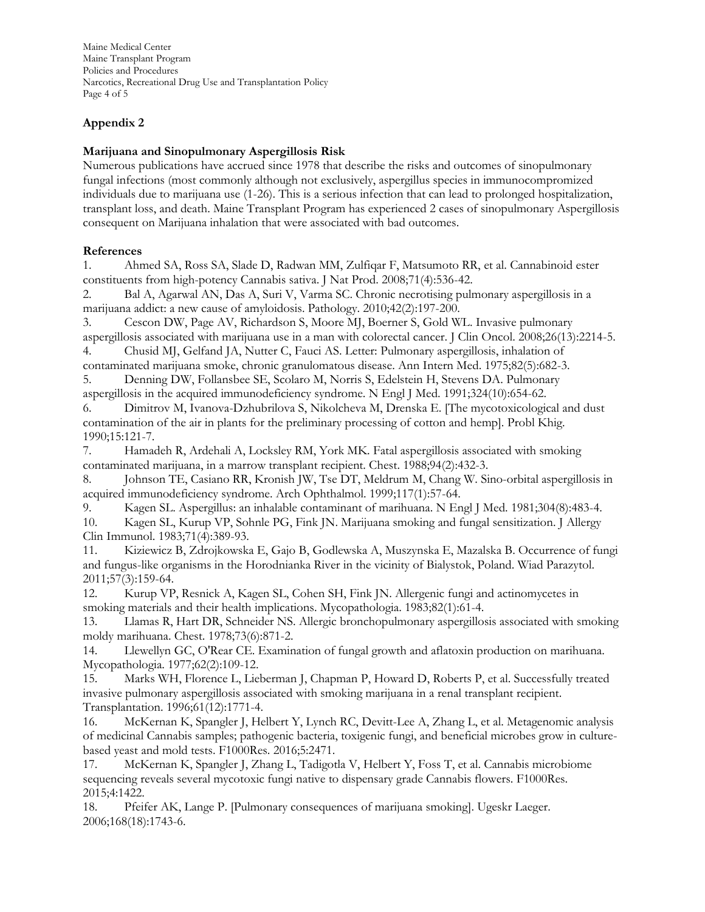Maine Medical Center Maine Transplant Program Policies and Procedures Narcotics, Recreational Drug Use and Transplantation Policy Page 4 of 5

# **Appendix 2**

## **Marijuana and Sinopulmonary Aspergillosis Risk**

Numerous publications have accrued since 1978 that describe the risks and outcomes of sinopulmonary fungal infections (most commonly although not exclusively, aspergillus species in immunocompromized individuals due to marijuana use (1-26). This is a serious infection that can lead to prolonged hospitalization, transplant loss, and death. Maine Transplant Program has experienced 2 cases of sinopulmonary Aspergillosis consequent on Marijuana inhalation that were associated with bad outcomes.

## **References**

1. Ahmed SA, Ross SA, Slade D, Radwan MM, Zulfiqar F, Matsumoto RR, et al. Cannabinoid ester constituents from high-potency Cannabis sativa. J Nat Prod. 2008;71(4):536-42.

2. Bal A, Agarwal AN, Das A, Suri V, Varma SC. Chronic necrotising pulmonary aspergillosis in a marijuana addict: a new cause of amyloidosis. Pathology. 2010;42(2):197-200.

3. Cescon DW, Page AV, Richardson S, Moore MJ, Boerner S, Gold WL. Invasive pulmonary aspergillosis associated with marijuana use in a man with colorectal cancer. J Clin Oncol. 2008;26(13):2214-5. 4. Chusid MJ, Gelfand JA, Nutter C, Fauci AS. Letter: Pulmonary aspergillosis, inhalation of

contaminated marijuana smoke, chronic granulomatous disease. Ann Intern Med. 1975;82(5):682-3.

5. Denning DW, Follansbee SE, Scolaro M, Norris S, Edelstein H, Stevens DA. Pulmonary aspergillosis in the acquired immunodeficiency syndrome. N Engl J Med. 1991;324(10):654-62.

6. Dimitrov M, Ivanova-Dzhubrilova S, Nikolcheva M, Drenska E. [The mycotoxicological and dust contamination of the air in plants for the preliminary processing of cotton and hemp]. Probl Khig. 1990;15:121-7.

7. Hamadeh R, Ardehali A, Locksley RM, York MK. Fatal aspergillosis associated with smoking contaminated marijuana, in a marrow transplant recipient. Chest. 1988;94(2):432-3.

8. Johnson TE, Casiano RR, Kronish JW, Tse DT, Meldrum M, Chang W. Sino-orbital aspergillosis in acquired immunodeficiency syndrome. Arch Ophthalmol. 1999;117(1):57-64.

9. Kagen SL. Aspergillus: an inhalable contaminant of marihuana. N Engl J Med. 1981;304(8):483-4.

10. Kagen SL, Kurup VP, Sohnle PG, Fink JN. Marijuana smoking and fungal sensitization. J Allergy Clin Immunol. 1983;71(4):389-93.

11. Kiziewicz B, Zdrojkowska E, Gajo B, Godlewska A, Muszynska E, Mazalska B. Occurrence of fungi and fungus-like organisms in the Horodnianka River in the vicinity of Bialystok, Poland. Wiad Parazytol. 2011;57(3):159-64.

12. Kurup VP, Resnick A, Kagen SL, Cohen SH, Fink JN. Allergenic fungi and actinomycetes in smoking materials and their health implications. Mycopathologia. 1983;82(1):61-4.

13. Llamas R, Hart DR, Schneider NS. Allergic bronchopulmonary aspergillosis associated with smoking moldy marihuana. Chest. 1978;73(6):871-2.

14. Llewellyn GC, O'Rear CE. Examination of fungal growth and aflatoxin production on marihuana. Mycopathologia. 1977;62(2):109-12.

15. Marks WH, Florence L, Lieberman J, Chapman P, Howard D, Roberts P, et al. Successfully treated invasive pulmonary aspergillosis associated with smoking marijuana in a renal transplant recipient. Transplantation. 1996;61(12):1771-4.

16. McKernan K, Spangler J, Helbert Y, Lynch RC, Devitt-Lee A, Zhang L, et al. Metagenomic analysis of medicinal Cannabis samples; pathogenic bacteria, toxigenic fungi, and beneficial microbes grow in culturebased yeast and mold tests. F1000Res. 2016;5:2471.

17. McKernan K, Spangler J, Zhang L, Tadigotla V, Helbert Y, Foss T, et al. Cannabis microbiome sequencing reveals several mycotoxic fungi native to dispensary grade Cannabis flowers. F1000Res. 2015;4:1422.

18. Pfeifer AK, Lange P. [Pulmonary consequences of marijuana smoking]. Ugeskr Laeger. 2006;168(18):1743-6.